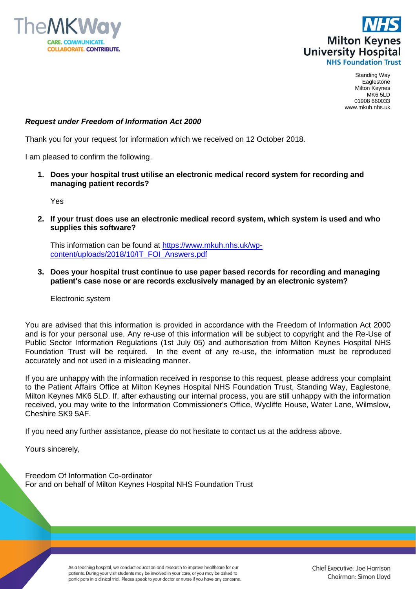



Standing Way Eaglestone Milton Keynes MK6 5LD 01908 660033 www.mkuh.nhs.uk

## *Request under Freedom of Information Act 2000*

Thank you for your request for information which we received on 12 October 2018.

I am pleased to confirm the following.

**1. Does your hospital trust utilise an electronic medical record system for recording and managing patient records?**

Yes

**2. If your trust does use an electronic medical record system, which system is used and who supplies this software?**

This information can be found at [https://www.mkuh.nhs.uk/wp](https://www.mkuh.nhs.uk/wp-content/uploads/2018/10/IT_FOI_Answers.pdf)[content/uploads/2018/10/IT\\_FOI\\_Answers.pdf](https://www.mkuh.nhs.uk/wp-content/uploads/2018/10/IT_FOI_Answers.pdf)

**3. Does your hospital trust continue to use paper based records for recording and managing patient's case nose or are records exclusively managed by an electronic system?**

Electronic system

You are advised that this information is provided in accordance with the Freedom of Information Act 2000 and is for your personal use. Any re-use of this information will be subject to copyright and the Re-Use of Public Sector Information Regulations (1st July 05) and authorisation from Milton Keynes Hospital NHS Foundation Trust will be required. In the event of any re-use, the information must be reproduced accurately and not used in a misleading manner.

If you are unhappy with the information received in response to this request, please address your complaint to the Patient Affairs Office at Milton Keynes Hospital NHS Foundation Trust, Standing Way, Eaglestone, Milton Keynes MK6 5LD. If, after exhausting our internal process, you are still unhappy with the information received, you may write to the Information Commissioner's Office, Wycliffe House, Water Lane, Wilmslow, Cheshire SK9 5AF.

If you need any further assistance, please do not hesitate to contact us at the address above.

Yours sincerely,

Freedom Of Information Co-ordinator For and on behalf of Milton Keynes Hospital NHS Foundation Trust

> As a teaching hospital, we conduct education and research to improve healthcare for our patients. During your visit students may be involved in your care, or you may be asked to participate in a clinical trial. Please speak to your doctor or nurse if you have any concerns.

Chief Executive: Joe Harrison Chairman: Simon Lloyd